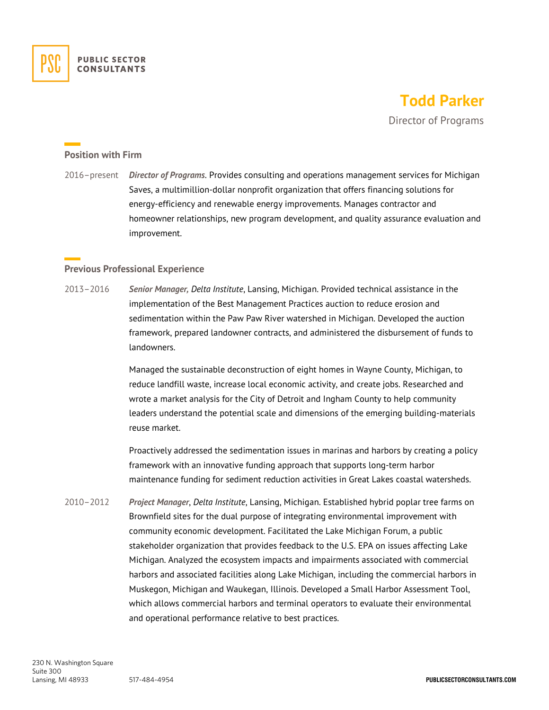

## **Todd Parker**

Director of Programs

## **Position with Firm**

2016–present *Director of Programs*. Provides consulting and operations management services for Michigan Saves, a multimillion-dollar nonprofit organization that offers financing solutions for energy-efficiency and renewable energy improvements. Manages contractor and homeowner relationships, new program development, and quality assurance evaluation and improvement.

## **Previous Professional Experience**

2013–2016 *Senior Manager, Delta Institute*, Lansing, Michigan. Provided technical assistance in the implementation of the Best Management Practices auction to reduce erosion and sedimentation within the Paw Paw River watershed in Michigan. Developed the auction framework, prepared landowner contracts, and administered the disbursement of funds to landowners.

> Managed the sustainable deconstruction of eight homes in Wayne County, Michigan, to reduce landfill waste, increase local economic activity, and create jobs. Researched and wrote a market analysis for the City of Detroit and Ingham County to help community leaders understand the potential scale and dimensions of the emerging building-materials reuse market.

> Proactively addressed the sedimentation issues in marinas and harbors by creating a policy framework with an innovative funding approach that supports long-term harbor maintenance funding for sediment reduction activities in Great Lakes coastal watersheds.

2010–2012 *Project Manager*, *Delta Institute*, Lansing, Michigan. Established hybrid poplar tree farms on Brownfield sites for the dual purpose of integrating environmental improvement with community economic development. Facilitated the Lake Michigan Forum, a public stakeholder organization that provides feedback to the U.S. EPA on issues affecting Lake Michigan. Analyzed the ecosystem impacts and impairments associated with commercial harbors and associated facilities along Lake Michigan, including the commercial harbors in Muskegon, Michigan and Waukegan, Illinois. Developed a Small Harbor Assessment Tool, which allows commercial harbors and terminal operators to evaluate their environmental and operational performance relative to best practices.